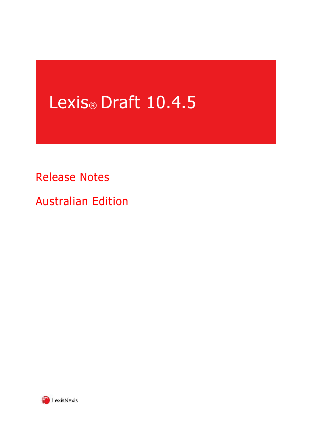# Lexis<sup>®</sup> Draft 10.4.5

## Release Notes

Australian Edition

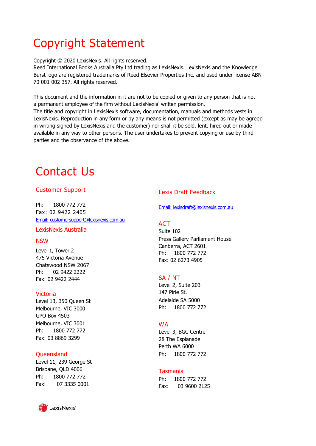## Copyright Statement

Copyright © 2020 LexisNexis. All rights reserved.

Reed International Books Australia Pty Ltd trading as LexisNexis. LexisNexis and the Knowledge Burst logo are registered trademarks of Reed Elsevier Properties Inc. and used under license ABN 70 001 002 357. All rights reserved.

This document and the information in it are not to be copied or given to any person that is not a permanent employee of the firm without LexisNexis' written permission.

The title and copyright in LexisNexis software, documentation, manuals and methods vests in LexisNexis. Reproduction in any form or by any means is not permitted (except as may be agreed in writing signed by LexisNexis and the customer) nor shall it be sold, lent, hired out or made available in any way to other persons. The user undertakes to prevent copying or use by third parties and the observance of the above.

## Contact Us

#### Customer Support

Ph: 1800 772 772 Fax: 02 9422 2405 [Email: customersupport@lexisnexis.com.au](mailto:customersupport@lexisnexis.com.au)

#### LexisNexis Australia

#### NSW

Level 1, Tower 2 475 Victoria Avenue Chatswood NSW 2067 Ph: 02 9422 2222 Fax: 02 9422 2444

#### Victoria

Level 13, 350 Queen St Melbourne, VIC 3000 GPO Box 4503 Melbourne, VIC 3001 Ph: 1800 772 772 Fax: 03 8869 3299

#### **Oueensland**

Level 11, 239 George St Brisbane, QLD 4006 Ph: 1800 772 772 Fax: 07 3335 0001



#### Lexis Draft Feedback

[Email: lexisdraft@lexisnexis.com.au](mailto:lexisdraft@lexisnexis.com.au)

#### **ACT**

Suite 102 Press Gallery Parliament House Canberra, ACT 2601 Ph: 1800 772 772 Fax: 02 6273 4905

#### SA / NT

Level 2, Suite 203 147 Pirie St. Adelaide SA 5000 Ph: 1800 772 772

#### **WA**

Level 3, BGC Centre 28 The Esplanade Perth WA 6000 Ph: 1800 772 772

#### Tasmania

Ph: 1800 772 772 Fax: 03 9600 2125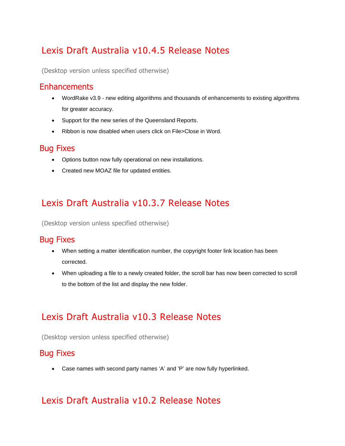## Lexis Draft Australia v10.4.5 Release Notes

(Desktop version unless specified otherwise)

#### **Enhancements**

- WordRake v3.9 new editing algorithms and thousands of enhancements to existing algorithms for greater accuracy.
- Support for the new series of the Queensland Reports.
- Ribbon is now disabled when users click on File>Close in Word.

#### Bug Fixes

- Options button now fully operational on new installations.
- Created new MOAZ file for updated entities.

## Lexis Draft Australia v10.3.7 Release Notes

(Desktop version unless specified otherwise)

#### Bug Fixes

- When setting a matter identification number, the copyright footer link location has been corrected.
- When uploading a file to a newly created folder, the scroll bar has now been corrected to scroll to the bottom of the list and display the new folder.

## Lexis Draft Australia v10.3 Release Notes

(Desktop version unless specified otherwise)

#### Bug Fixes

• Case names with second party names 'A' and 'P' are now fully hyperlinked.

## Lexis Draft Australia v10.2 Release Notes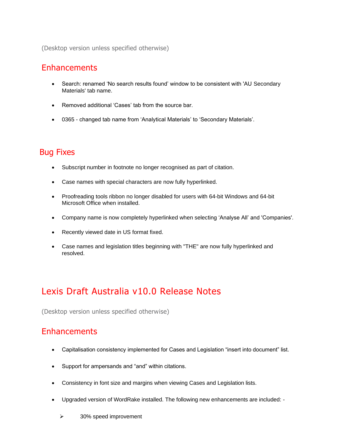(Desktop version unless specified otherwise)

#### **Enhancements**

- Search: renamed 'No search results found' window to be consistent with 'AU Secondary Materials' tab name.
- Removed additional 'Cases' tab from the source bar.
- 0365 changed tab name from 'Analytical Materials' to 'Secondary Materials'.

#### Bug Fixes

- Subscript number in footnote no longer recognised as part of citation.
- Case names with special characters are now fully hyperlinked.
- Proofreading tools ribbon no longer disabled for users with 64-bit Windows and 64-bit Microsoft Office when installed.
- Company name is now completely hyperlinked when selecting 'Analyse All' and 'Companies'.
- Recently viewed date in US format fixed.
- Case names and legislation titles beginning with "THE" are now fully hyperlinked and resolved.

## Lexis Draft Australia v10.0 Release Notes

(Desktop version unless specified otherwise)

#### **Enhancements**

- Capitalisation consistency implemented for Cases and Legislation "insert into document" list.
- Support for ampersands and "and" within citations.
- Consistency in font size and margins when viewing Cases and Legislation lists.
- Upgraded version of WordRake installed. The following new enhancements are included:
	- ➢ 30% speed improvement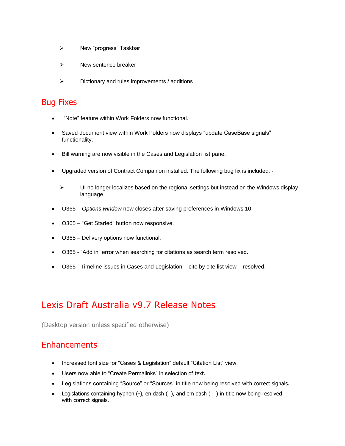- ➢ New "progress" Taskbar
- ➢ New sentence breaker
- ➢ Dictionary and rules improvements / additions

#### Bug Fixes

- "Note" feature within Work Folders now functional.
- Saved document view within Work Folders now displays "update CaseBase signals" functionality.
- Bill warning are now visible in the Cases and Legislation list pane.
- Upgraded version of Contract Companion installed. The following bug fix is included:
	- ➢ UI no longer localizes based on the regional settings but instead on the Windows display language.
- O365 *Options window* now closes after saving preferences in Windows 10.
- O365 "Get Started" button now responsive.
- O365 Delivery options now functional.
- O365 "Add in" error when searching for citations as search term resolved.
- O365 Timeline issues in Cases and Legislation cite by cite list view resolved.

## Lexis Draft Australia v9.7 Release Notes

(Desktop version unless specified otherwise)

### **Enhancements**

- Increased font size for "Cases & Legislation" default "Citation List" view.
- Users now able to "Create Permalinks" in selection of text.
- Legislations containing "Source" or "Sources" in title now being resolved with correct signals.
- Legislations containing hyphen  $(-)$ , en dash  $(-)$ , and em dash  $(-)$  in title now being resolved with correct signals.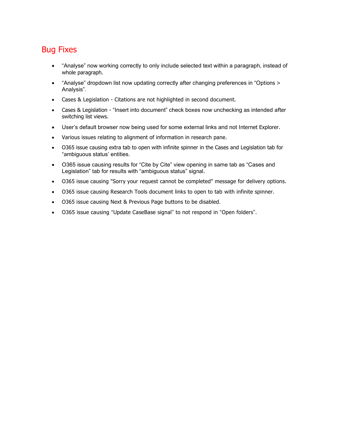### Bug Fixes

- "Analyse" now working correctly to only include selected text within a paragraph, instead of whole paragraph.
- "Analyse" dropdown list now updating correctly after changing preferences in "Options > Analysis".
- Cases & Legislation Citations are not highlighted in second document.
- Cases & Legislation "Insert into document" check boxes now unchecking as intended after switching list views.
- User's default browser now being used for some external links and not Internet Explorer.
- Various issues relating to alignment of information in research pane.
- O365 issue causing extra tab to open with infinite spinner in the Cases and Legislation tab for "ambiguous status' entities.
- O365 issue causing results for "Cite by Cite" view opening in same tab as "Cases and Legislation" tab for results with "ambiguous status" signal.
- O365 issue causing "Sorry your request cannot be completed" message for delivery options.
- O365 issue causing Research Tools document links to open to tab with infinite spinner.
- O365 issue causing Next & Previous Page buttons to be disabled.
- O365 issue causing "Update CaseBase signal" to not respond in "Open folders".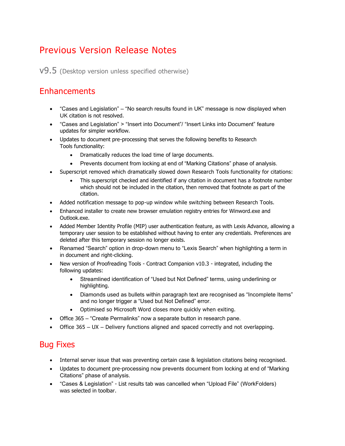## Previous Version Release Notes

v9.5 (Desktop version unless specified otherwise)

### **Enhancements**

- "Cases and Legislation" "No search results found in UK" message is now displayed when UK citation is not resolved.
- "Cases and Legislation" > "Insert into Document"/ "Insert Links into Document" feature updates for simpler workflow.
- Updates to document pre-processing that serves the following benefits to Research Tools functionality:
	- Dramatically reduces the load time of large documents.
	- Prevents document from locking at end of "Marking Citations" phase of analysis.
- Superscript removed which dramatically slowed down Research Tools functionality for citations:
	- This superscript checked and identified if any citation in document has a footnote number which should not be included in the citation, then removed that footnote as part of the citation.
- Added notification message to pop-up window while switching between Research Tools.
- Enhanced installer to create new browser emulation registry entries for Winword.exe and Outlook.exe.
- Added Member Identity Profile (MIP) user authentication feature, as with Lexis Advance, allowing a temporary user session to be established without having to enter any credentials. Preferences are deleted after this temporary session no longer exists.
- Renamed "Search" option in drop-down menu to "Lexis Search" when highlighting a term in in document and right-clicking.
- New version of Proofreading Tools Contract Companion v10.3 integrated, including the following updates:
	- Streamlined identification of "Used but Not Defined" terms, using underlining or highlighting.
	- Diamonds used as bullets within paragraph text are recognised as "Incomplete Items" and no longer trigger a "Used but Not Defined" error.
	- Optimised so Microsoft Word closes more quickly when exiting.
- Office 365 "Create Permalinks" now a separate button in research pane.
- Office 365 UX Delivery functions aligned and spaced correctly and not overlapping.

### Bug Fixes

- Internal server issue that was preventing certain case & legislation citations being recognised.
- Updates to document pre-processing now prevents document from locking at end of "Marking Citations" phase of analysis.
- "Cases & Legislation" List results tab was cancelled when "Upload File" (WorkFolders) was selected in toolbar.